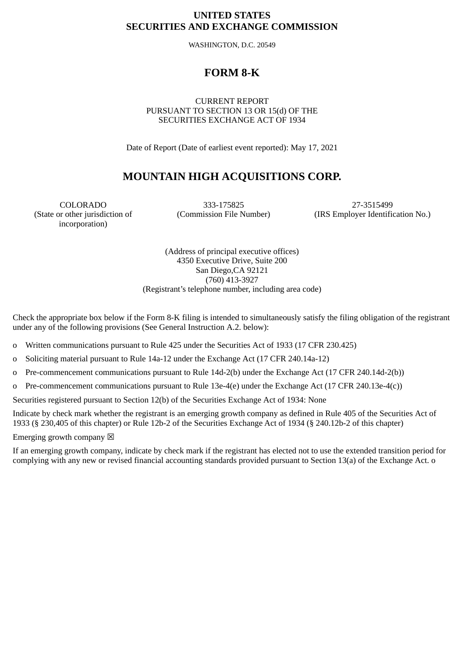## **UNITED STATES SECURITIES AND EXCHANGE COMMISSION**

WASHINGTON, D.C. 20549

# **FORM 8-K**

CURRENT REPORT PURSUANT TO SECTION 13 OR 15(d) OF THE SECURITIES EXCHANGE ACT OF 1934

Date of Report (Date of earliest event reported): May 17, 2021

# **MOUNTAIN HIGH ACQUISITIONS CORP.**

(State or other jurisdiction of incorporation)

COLORADO 333-175825 27-3515499

(Commission File Number) (IRS Employer Identification No.)

(Address of principal executive offices) 4350 Executive Drive, Suite 200 San Diego,CA 92121 (760) 413-3927 (Registrant's telephone number, including area code)

Check the appropriate box below if the Form 8-K filing is intended to simultaneously satisfy the filing obligation of the registrant under any of the following provisions (See General Instruction A.2. below):

o Written communications pursuant to Rule 425 under the Securities Act of 1933 (17 CFR 230.425)

- o Soliciting material pursuant to Rule 14a-12 under the Exchange Act (17 CFR 240.14a-12)
- o Pre-commencement communications pursuant to Rule 14d-2(b) under the Exchange Act (17 CFR 240.14d-2(b))
- o Pre-commencement communications pursuant to Rule 13e-4(e) under the Exchange Act (17 CFR 240.13e-4(c))

Securities registered pursuant to Section 12(b) of the Securities Exchange Act of 1934: None

Indicate by check mark whether the registrant is an emerging growth company as defined in Rule 405 of the Securities Act of 1933 (§ 230,405 of this chapter) or Rule 12b-2 of the Securities Exchange Act of 1934 (§ 240.12b-2 of this chapter)

Emerging growth company  $\boxtimes$ 

If an emerging growth company, indicate by check mark if the registrant has elected not to use the extended transition period for complying with any new or revised financial accounting standards provided pursuant to Section 13(a) of the Exchange Act. o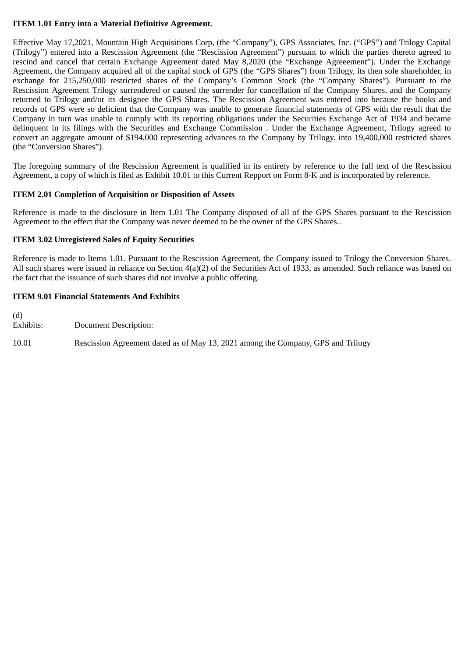## **ITEM 1.01 Entry into a Material Definitive Agreement.**

Effective May 17,2021, Mountain High Acquisitions Corp, (the "Company"), GPS Associates, Inc. ("GPS") and Trilogy Capital (Trilogy") entered into a Rescission Agreement (the "Rescission Agreement") pursuant to which the parties thereto agreed to rescind and cancel that certain Exchange Agreement dated May 8,2020 (the "Exchange Agreeement"). Under the Exchange Agreement, the Company acquired all of the capital stock of GPS (the "GPS Shares") from Trilogy, its then sole shareholder, in exchange for 215,250,000 restricted shares of the Company's Common Stock (the "Company Shares"). Pursuant to the Rescission Agreement Trilogy surrendered or caused the surrender for cancellation of the Company Shares, and the Company returned to Trilogy and/or its designee the GPS Shares. The Rescission Agreement was entered into because the books and records of GPS were so deficient that the Company was unable to generate financial statements of GPS with the result that the Company in turn was unable to comply with its reporting obligations under the Securities Exchange Act of 1934 and became delinquent in its filings with the Securities and Exchange Commission . Under the Exchange Agreement, Trilogy agreed to convert an aggregate amount of \$194,000 representing advances to the Company by Trilogy. into 19,400,000 restricted shares (the "Conversion Shares").

The foregoing summary of the Rescission Agreement is qualified in its entirety by reference to the full text of the Rescission Agreement, a copy of which is filed as Exhibit 10.01 to this Current Repport on Form 8-K and is incorporated by reference.

## **ITEM 2.01 Completion of Acquisition or Disposition of Assets**

Reference is made to the disclosure in Item 1.01 The Company disposed of all of the GPS Shares pursuant to the Rescission Agreement to the effect that the Company was never deemed to be the owner of the GPS Shares..

## **ITEM 3.02 Unregistered Sales of Equity Securities**

Reference is made to Items 1.01. Pursuant to the Rescission Agreement, the Company issued to Trilogy the Conversion Shares. All such shares were issued in reliance on Section 4(a)(2) of the Securities Act of 1933, as amended. Such reliance was based on the fact that the issuance of such shares did not involve a public offering.

## **ITEM 9.01 Financial Statements And Exhibits**

(d) Document Description:

10.01 Rescission Agreement dated as of May 13, 2021 among the Company, GPS and Trilogy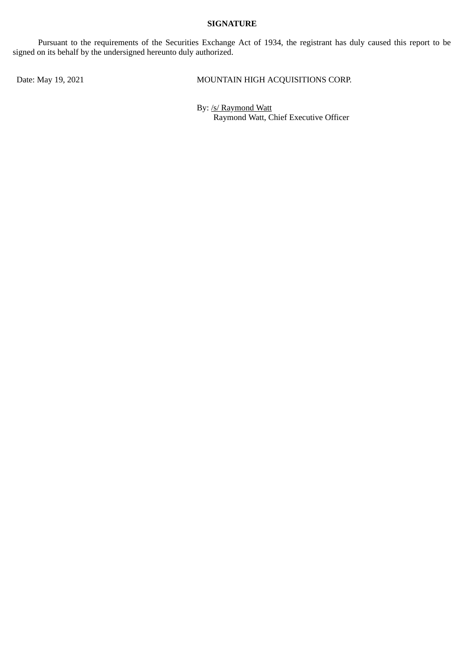## **SIGNATURE**

Pursuant to the requirements of the Securities Exchange Act of 1934, the registrant has duly caused this report to be signed on its behalf by the undersigned hereunto duly authorized.

Date: May 19, 2021 MOUNTAIN HIGH ACQUISITIONS CORP.

By: /s/ Raymond Watt Raymond Watt, Chief Executive Officer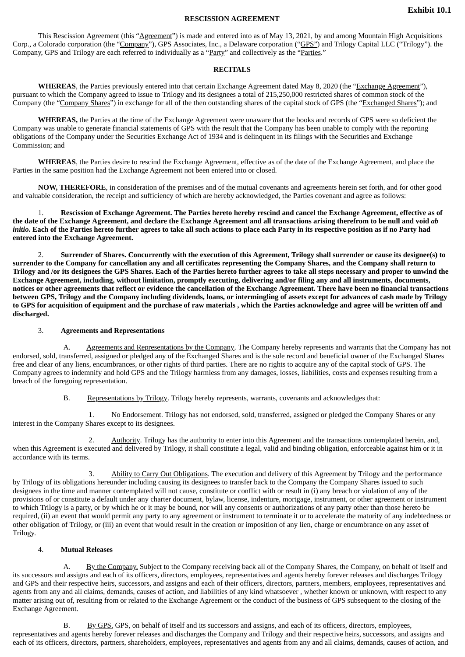#### **RESCISSION AGREEMENT**

This Rescission Agreement (this "Agreement") is made and entered into as of May 13, 2021, by and among Mountain High Acquisitions Corp., a Colorado corporation (the "Company"), GPS Associates, Inc., a Delaware corporation ("GPS") and Trilogy Capital LLC ("Trilogy"). the Company, GPS and Trilogy are each referred to individually as a "Party" and collectively as the "Parties."

#### **RECITALS**

WHEREAS, the Parties previously entered into that certain Exchange Agreement dated May 8, 2020 (the "Exchange Agreement"), pursuant to which the Company agreed to issue to Trilogy and its designees a total of 215,250,000 restricted shares of common stock of the Company (the "Company Shares") in exchange for all of the then outstanding shares of the capital stock of GPS (the "Exchanged Shares"); and

**WHEREAS,** the Parties at the time of the Exchange Agreement were unaware that the books and records of GPS were so deficient the Company was unable to generate financial statements of GPS with the result that the Company has been unable to comply with the reporting obligations of the Company under the Securities Exchange Act of 1934 and is delinquent in its filings with the Securities and Exchange Commission; and

**WHEREAS**, the Parties desire to rescind the Exchange Agreement, effective as of the date of the Exchange Agreement, and place the Parties in the same position had the Exchange Agreement not been entered into or closed.

**NOW, THEREFORE**, in consideration of the premises and of the mutual covenants and agreements herein set forth, and for other good and valuable consideration, the receipt and sufficiency of which are hereby acknowledged, the Parties covenant and agree as follows:

1. **Rescission of Exchange Agreement. The Parties hereto hereby rescind and cancel the Exchange Agreement, effective as of the date of the Exchange Agreement, and declare the Exchange Agreement and all transactions arising therefrom to be null and void** *ab initio***. Each of the Parties hereto further agrees to take all such actions to place each Party in its respective position as if no Party had entered into the Exchange Agreement.**

2. **Surrender of Shares. Concurrently with the execution of this Agreement, Trilogy shall surrender or cause its designee(s) to surrender to the Company for cancellation any and all certificates representing the Company Shares, and the Company shall return to Trilogy and /or its designees the GPS Shares. Each of the Parties hereto further agrees to take all steps necessary and proper to unwind the Exchange Agreement, including, without limitation, promptly executing, delivering and/or filing any and all instruments, documents, notices or other agreements that reflect or evidence the cancellation of the Exchange Agreement. There have been no financial transactions between GPS, Trilogy and the Company including dividends, loans, or intermingling of assets except for advances of cash made by Trilogy to GPS for acquisition of equipment and the purchase of raw materials , which the Parties acknowledge and agree will be written off and discharged.**

#### 3. **Agreements and Representations**

A. Agreements and Representations by the Company. The Company hereby represents and warrants that the Company has not endorsed, sold, transferred, assigned or pledged any of the Exchanged Shares and is the sole record and beneficial owner of the Exchanged Shares free and clear of any liens, encumbrances, or other rights of third parties. There are no rights to acquire any of the capital stock of GPS. The Company agrees to indemnify and hold GPS and the Trilogy harmless from any damages, losses, liabilities, costs and expenses resulting from a breach of the foregoing representation.

B. Representations by Trilogy. Trilogy hereby represents, warrants, covenants and acknowledges that:

1. No Endorsement. Trilogy has not endorsed, sold, transferred, assigned or pledged the Company Shares or any interest in the Company Shares except to its designees.

2. Authority. Trilogy has the authority to enter into this Agreement and the transactions contemplated herein, and, when this Agreement is executed and delivered by Trilogy, it shall constitute a legal, valid and binding obligation, enforceable against him or it in accordance with its terms.

3. Ability to Carry Out Obligations. The execution and delivery of this Agreement by Trilogy and the performance by Trilogy of its obligations hereunder including causing its designees to transfer back to the Company the Company Shares issued to such designees in the time and manner contemplated will not cause, constitute or conflict with or result in (i) any breach or violation of any of the provisions of or constitute a default under any charter document, bylaw, license, indenture, mortgage, instrument, or other agreement or instrument to which Trilogy is a party, or by which he or it may be bound, nor will any consents or authorizations of any party other than those hereto be required, (ii) an event that would permit any party to any agreement or instrument to terminate it or to accelerate the maturity of any indebtedness or other obligation of Trilogy, or (iii) an event that would result in the creation or imposition of any lien, charge or encumbrance on any asset of Trilogy.

#### 4. **Mutual Releases**

A. By the Company. Subject to the Company receiving back all of the Company Shares, the Company, on behalf of itself and its successors and assigns and each of its officers, directors, employees, representatives and agents hereby forever releases and discharges Trilogy and GPS and their respective heirs, successors, and assigns and each of their officers, directors, partners, members, employees, representatives and agents from any and all claims, demands, causes of action, and liabilities of any kind whatsoever , whether known or unknown, with respect to any matter arising out of, resulting from or related to the Exchange Agreement or the conduct of the business of GPS subsequent to the closing of the Exchange Agreement.

By GPS. GPS, on behalf of itself and its successors and assigns, and each of its officers, directors, employees, representatives and agents hereby forever releases and discharges the Company and Trilogy and their respective heirs, successors, and assigns and each of its officers, directors, partners, shareholders, employees, representatives and agents from any and all claims, demands, causes of action, and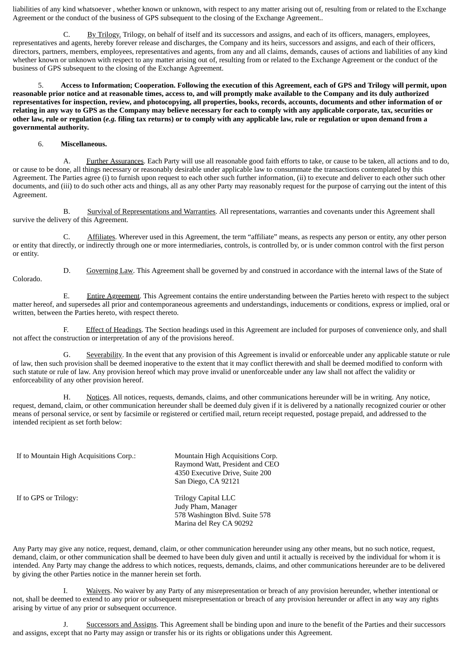liabilities of any kind whatsoever , whether known or unknown, with respect to any matter arising out of, resulting from or related to the Exchange Agreement or the conduct of the business of GPS subsequent to the closing of the Exchange Agreement..

C. By Trilogy. Trilogy, on behalf of itself and its successors and assigns, and each of its officers, managers, employees, representatives and agents, hereby forever release and discharges, the Company and its heirs, successors and assigns, and each of their officers, directors, partners, members, employees, representatives and agents, from any and all claims, demands, causes of actions and liabilities of any kind whether known or unknown with respect to any matter arising out of, resulting from or related to the Exchange Agreement or the conduct of the business of GPS subsequent to the closing of the Exchange Agreement.

5. **Access to Information; Cooperation. Following the execution of this Agreement, each of GPS and Trilogy will permit, upon reasonable prior notice and at reasonable times, access to, and will promptly make available to the Company and its duly authorized representatives for inspection, review, and photocopying, all properties, books, records, accounts, documents and other information of or relating in any way to GPS as the Company may believe necessary for each to comply with any applicable corporate, tax, securities or other law, rule or regulation (***e.g.* **filing tax returns) or to comply with any applicable law, rule or regulation or upon demand from a governmental authority.**

#### 6. **Miscellaneous.**

A. Further Assurances. Each Party will use all reasonable good faith efforts to take, or cause to be taken, all actions and to do, or cause to be done, all things necessary or reasonably desirable under applicable law to consummate the transactions contemplated by this Agreement. The Parties agree (i) to furnish upon request to each other such further information, (ii) to execute and deliver to each other such other documents, and (iii) to do such other acts and things, all as any other Party may reasonably request for the purpose of carrying out the intent of this Agreement.

B. Survival of Representations and Warranties. All representations, warranties and covenants under this Agreement shall survive the delivery of this Agreement.

C. Affiliates. Wherever used in this Agreement, the term "affiliate" means, as respects any person or entity, any other person or entity that directly, or indirectly through one or more intermediaries, controls, is controlled by, or is under common control with the first person or entity.

Colorado.

D. Governing Law. This Agreement shall be governed by and construed in accordance with the internal laws of the State of

E. Entire Agreement. This Agreement contains the entire understanding between the Parties hereto with respect to the subject matter hereof, and supersedes all prior and contemporaneous agreements and understandings, inducements or conditions, express or implied, oral or written, between the Parties hereto, with respect thereto.

F. Effect of Headings. The Section headings used in this Agreement are included for purposes of convenience only, and shall not affect the construction or interpretation of any of the provisions hereof.

G. Severability. In the event that any provision of this Agreement is invalid or enforceable under any applicable statute or rule of law, then such provision shall be deemed inoperative to the extent that it may conflict therewith and shall be deemed modified to conform with such statute or rule of law. Any provision hereof which may prove invalid or unenforceable under any law shall not affect the validity or enforceability of any other provision hereof.

H. Notices. All notices, requests, demands, claims, and other communications hereunder will be in writing. Any notice, request, demand, claim, or other communication hereunder shall be deemed duly given if it is delivered by a nationally recognized courier or other means of personal service, or sent by facsimile or registered or certified mail, return receipt requested, postage prepaid, and addressed to the intended recipient as set forth below:

If to Mountain High Acquisitions Corp.: Mountain High Acquisitions Corp. Raymond Watt, President and CEO 4350 Executive Drive, Suite 200 San Diego, CA 92121 If to GPS or Trilogy: Trilogy Capital LLC Judy Pham, Manager 578 Washington Blvd. Suite 578 Marina del Rey CA 90292

Any Party may give any notice, request, demand, claim, or other communication hereunder using any other means, but no such notice, request, demand, claim, or other communication shall be deemed to have been duly given and until it actually is received by the individual for whom it is intended. Any Party may change the address to which notices, requests, demands, claims, and other communications hereunder are to be delivered by giving the other Parties notice in the manner herein set forth.

I. Waivers. No waiver by any Party of any misrepresentation or breach of any provision hereunder, whether intentional or not, shall be deemed to extend to any prior or subsequent misrepresentation or breach of any provision hereunder or affect in any way any rights arising by virtue of any prior or subsequent occurrence.

J. Successors and Assigns. This Agreement shall be binding upon and inure to the benefit of the Parties and their successors and assigns, except that no Party may assign or transfer his or its rights or obligations under this Agreement.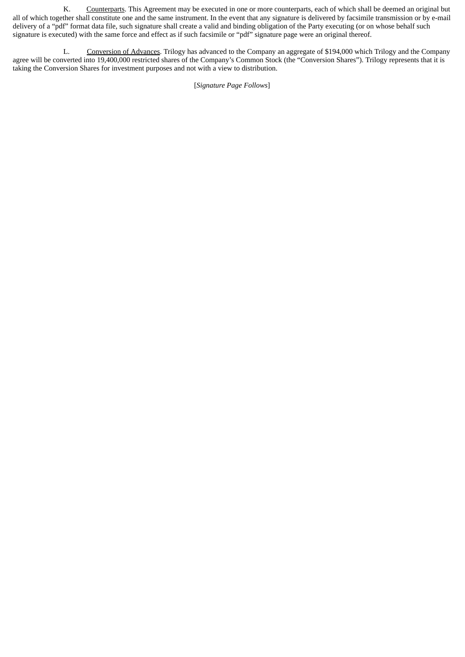K. Counterparts. This Agreement may be executed in one or more counterparts, each of which shall be deemed an original but all of which together shall constitute one and the same instrument. In the event that any signature is delivered by facsimile transmission or by e-mail delivery of a "pdf" format data file, such signature shall create a valid and binding obligation of the Party executing (or on whose behalf such signature is executed) with the same force and effect as if such facsimile or "pdf" signature page were an original thereof.

L. Conversion of Advances. Trilogy has advanced to the Company an aggregate of \$194,000 which Trilogy and the Company agree will be converted into 19,400,000 restricted shares of the Company's Common Stock (the "Conversion Shares"). Trilogy represents that it is taking the Conversion Shares for investment purposes and not with a view to distribution.

[*Signature Page Follows*]